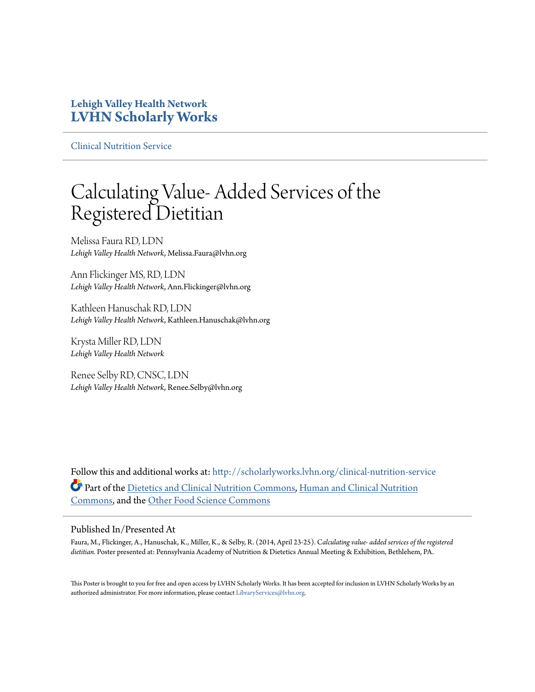#### **Lehigh Valley Health Network [LVHN Scholarly Works](http://scholarlyworks.lvhn.org?utm_source=scholarlyworks.lvhn.org%2Fclinical-nutrition-service%2F13&utm_medium=PDF&utm_campaign=PDFCoverPages)**

[Clinical Nutrition Service](http://scholarlyworks.lvhn.org/clinical-nutrition-service?utm_source=scholarlyworks.lvhn.org%2Fclinical-nutrition-service%2F13&utm_medium=PDF&utm_campaign=PDFCoverPages)

#### Calculating Value- Added Services of the Registered Dietitian

Melissa Faura RD, LDN *Lehigh Valley Health Network*, Melissa.Faura@lvhn.org

Ann Flickinger MS, RD, LDN *Lehigh Valley Health Network*, Ann.Flickinger@lvhn.org

Kathleen Hanuschak RD, LDN *Lehigh Valley Health Network*, Kathleen.Hanuschak@lvhn.org

Krysta Miller RD, LDN *Lehigh Valley Health Network*

Renee Selby RD, CNSC, LDN *Lehigh Valley Health Network*, Renee.Selby@lvhn.org

Follow this and additional works at: [http://scholarlyworks.lvhn.org/clinical-nutrition-service](http://scholarlyworks.lvhn.org/clinical-nutrition-service?utm_source=scholarlyworks.lvhn.org%2Fclinical-nutrition-service%2F13&utm_medium=PDF&utm_campaign=PDFCoverPages) Part of the [Dietetics and Clinical Nutrition Commons,](http://network.bepress.com/hgg/discipline/662?utm_source=scholarlyworks.lvhn.org%2Fclinical-nutrition-service%2F13&utm_medium=PDF&utm_campaign=PDFCoverPages) [Human and Clinical Nutrition](http://network.bepress.com/hgg/discipline/97?utm_source=scholarlyworks.lvhn.org%2Fclinical-nutrition-service%2F13&utm_medium=PDF&utm_campaign=PDFCoverPages) [Commons,](http://network.bepress.com/hgg/discipline/97?utm_source=scholarlyworks.lvhn.org%2Fclinical-nutrition-service%2F13&utm_medium=PDF&utm_campaign=PDFCoverPages) and the [Other Food Science Commons](http://network.bepress.com/hgg/discipline/89?utm_source=scholarlyworks.lvhn.org%2Fclinical-nutrition-service%2F13&utm_medium=PDF&utm_campaign=PDFCoverPages)

#### Published In/Presented At

Faura, M., Flickinger, A., Hanuschak, K., Miller, K., & Selby, R. (2014, April 23-25). C*alculating value- added services of the registered dietitian.* Poster presented at: Pennsylvania Academy of Nutrition & Dietetics Annual Meeting & Exhibition, Bethlehem, PA.

This Poster is brought to you for free and open access by LVHN Scholarly Works. It has been accepted for inclusion in LVHN Scholarly Works by an authorized administrator. For more information, please contact [LibraryServices@lvhn.org.](mailto:LibraryServices@lvhn.org)